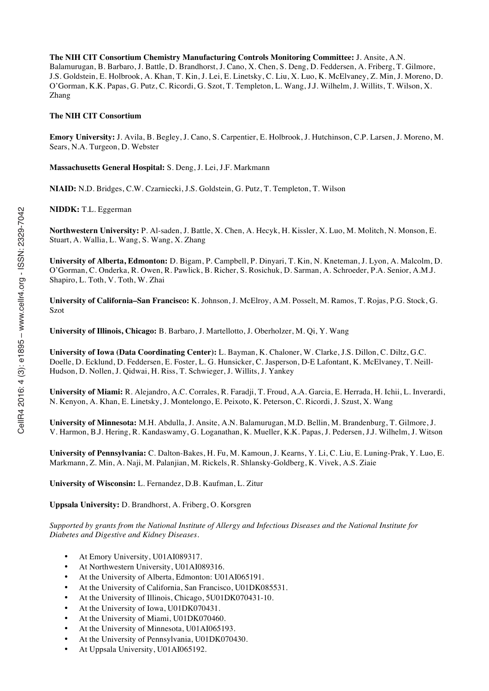**The NIH CIT Consortium Chemistry Manufacturing Controls Monitoring Committee:** J. Ansite, A.N. Balamurugan, B. Barbaro, J. Battle, D. Brandhorst, J. Cano, X. Chen, S. Deng, D. Feddersen, A. Friberg, T. Gilmore, J.S. Goldstein, E. Holbrook, A. Khan, T. Kin, J. Lei, E. Linetsky, C. Liu, X. Luo, K. McElvaney, Z. Min, J. Moreno, D. O'Gorman, K.K. Papas, G. Putz, C. Ricordi, G. Szot, T. Templeton, L. Wang, J.J. Wilhelm, J. Willits, T. Wilson, X. Zhang

#### **The NIH CIT Consortium**

**Emory University:** J. Avila, B. Begley, J. Cano, S. Carpentier, E. Holbrook, J. Hutchinson, C.P. Larsen, J. Moreno, M. Sears, N.A. Turgeon, D. Webster

**Massachusetts General Hospital:** S. Deng, J. Lei, J.F. Markmann

**NIAID:** N.D. Bridges, C.W. Czarniecki, J.S. Goldstein, G. Putz, T. Templeton, T. Wilson

**NIDDK:** T.L. Eggerman

**Northwestern University:** P. Al-saden, J. Battle, X. Chen, A. Hecyk, H. Kissler, X. Luo, M. Molitch, N. Monson, E. Stuart, A. Wallia, L. Wang, S. Wang, X. Zhang

**University of Alberta, Edmonton:** D. Bigam, P. Campbell, P. Dinyari, T. Kin, N. Kneteman, J. Lyon, A. Malcolm, D. O'Gorman, C. Onderka, R. Owen, R. Pawlick, B. Richer, S. Rosichuk, D. Sarman, A. Schroeder, P.A. Senior, A.M.J. Shapiro, L. Toth, V. Toth, W. Zhai

**University of California–San Francisco:** K. Johnson, J. McElroy, A.M. Posselt, M. Ramos, T. Rojas, P.G. Stock, G. Szot

**University of Illinois, Chicago:** B. Barbaro, J. Martellotto, J. Oberholzer, M. Qi, Y. Wang

**University of Iowa (Data Coordinating Center):** L. Bayman, K. Chaloner, W. Clarke, J.S. Dillon, C. Diltz, G.C. Doelle, D. Ecklund, D. Feddersen, E. Foster, L. G. Hunsicker, C. Jasperson, D-E Lafontant, K. McElvaney, T. Neill-Hudson, D. Nollen, J. Qidwai, H. Riss, T. Schwieger, J. Willits, J. Yankey

**University of Miami:** R. Alejandro, A.C. Corrales, R. Faradji, T. Froud, A.A. Garcia, E. Herrada, H. Ichii, L. Inverardi, N. Kenyon, A. Khan, E. Linetsky, J. Montelongo, E. Peixoto, K. Peterson, C. Ricordi, J. Szust, X. Wang

**University of Minnesota:** M.H. Abdulla, J. Ansite, A.N. Balamurugan, M.D. Bellin, M. Brandenburg, T. Gilmore, J. V. Harmon, B.J. Hering, R. Kandaswamy, G. Loganathan, K. Mueller, K.K. Papas, J. Pedersen, J.J. Wilhelm, J. Witson

**University of Pennsylvania:** C. Dalton-Bakes, H. Fu, M. Kamoun, J. Kearns, Y. Li, C. Liu, E. Luning-Prak, Y. Luo, E. Markmann, Z. Min, A. Naji, M. Palanjian, M. Rickels, R. Shlansky-Goldberg, K. Vivek, A.S. Ziaie

**University of Wisconsin:** L. Fernandez, D.B. Kaufman, L. Zitur

**Uppsala University:** D. Brandhorst, A. Friberg, O. Korsgren

*Supported by grants from the National Institute of Allergy and Infectious Diseases and the National Institute for Diabetes and Digestive and Kidney Diseases.*

- At Emory University, U01AI089317.
- At Northwestern University, U01AI089316.
- At the University of Alberta, Edmonton: U01AI065191.
- At the University of California, San Francisco, U01DK085531.
- At the University of Illinois, Chicago, 5U01DK070431-10.
- At the University of Iowa, U01DK070431.
- At the University of Miami, U01DK070460.
- At the University of Minnesota, U01AI065193.
- At the University of Pennsylvania, U01DK070430.
- At Uppsala University, U01AI065192.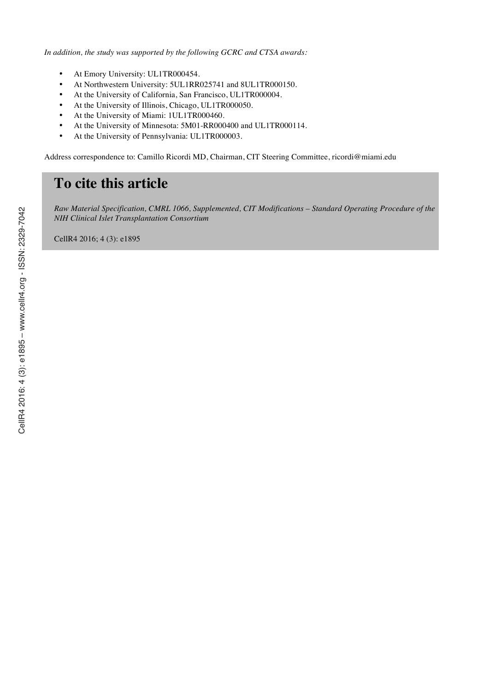*In addition, the study was supported by the following GCRC and CTSA awards:*

- At Emory University: UL1TR000454.
- At Northwestern University: 5UL1RR025741 and 8UL1TR000150.
- At the University of California, San Francisco, UL1TR000004.
- At the University of Illinois, Chicago, UL1TR000050.
- At the University of Miami: 1UL1TR000460.
- At the University of Minnesota: 5M01-RR000400 and UL1TR000114.
- At the University of Pennsylvania: UL1TR000003.

Address correspondence to: Camillo Ricordi MD, Chairman, CIT Steering Committee, ricordi@miami.edu

# **T To cite this article**

 *NIH Clinical Islet Transplantation Consortium Raw Material Specification, CMRL 1066, Supplemented, CIT Modifications – Standard Operating Procedure of the* 

CellR4 2016; 4 (3): e1895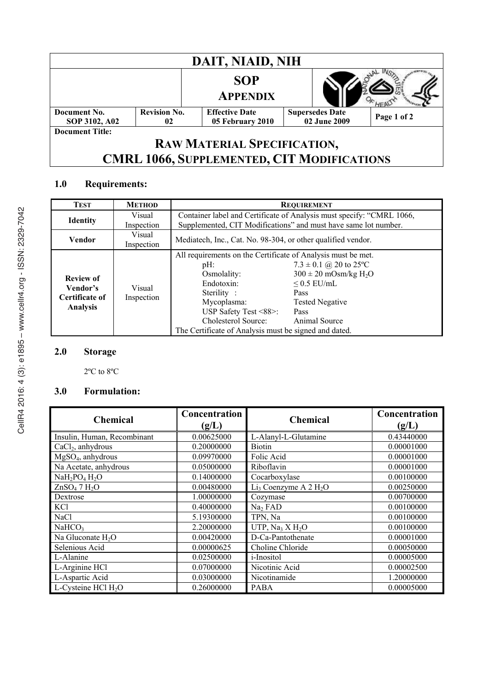| DAIT, NIAID, NIH                                      |                           |                                           |                                        |             |
|-------------------------------------------------------|---------------------------|-------------------------------------------|----------------------------------------|-------------|
|                                                       |                           | <b>SOP</b><br><b>APPENDIX</b>             |                                        |             |
| Document No.<br>SOP 3102, A02                         | <b>Revision No.</b><br>02 | <b>Effective Date</b><br>05 February 2010 | <b>Supersedes Date</b><br>02 June 2009 | Page 1 of 2 |
| <b>Document Title:</b><br>RAW MATERIAL SPECIFICATION, |                           |                                           |                                        |             |

**CMRL 1066, SUPPLEMENTED, CIT MODIFICATIONS**

### **1.0 Requirements:**

| <b>TEST</b>                                                              | <b>METHOD</b>        | <b>REQUIREMENT</b>                                                                                                                                                                                                                        |                                                                                                                                                      |  |
|--------------------------------------------------------------------------|----------------------|-------------------------------------------------------------------------------------------------------------------------------------------------------------------------------------------------------------------------------------------|------------------------------------------------------------------------------------------------------------------------------------------------------|--|
| <b>Identity</b>                                                          | Visual<br>Inspection | Container label and Certificate of Analysis must specify: "CMRL 1066,<br>Supplemented, CIT Modifications" and must have same lot number.                                                                                                  |                                                                                                                                                      |  |
| Vendor                                                                   | Visual<br>Inspection | Mediatech, Inc., Cat. No. 98-304, or other qualified vendor.                                                                                                                                                                              |                                                                                                                                                      |  |
| <b>Review of</b><br>Vendor's<br><b>Certificate of</b><br><b>Analysis</b> | Visual<br>Inspection | All requirements on the Certificate of Analysis must be met.<br>$pH$ :<br>Osmolality:<br>Endotoxin:<br>Sterility:<br>Mycoplasma:<br>USP Safety Test <88>:<br>Cholesterol Source:<br>The Certificate of Analysis must be signed and dated. | $7.3 \pm 0.1$ (a) 20 to 25°C<br>$300 \pm 20$ mOsm/kg H <sub>2</sub> O<br>$\leq$ 0.5 EU/mL<br>Pass<br><b>Tested Negative</b><br>Pass<br>Animal Source |  |

### **2.0 Storage**

2ºC to 8ºC

#### **3.0 Formulation:**

| <b>Chemical</b>                     | Concentration<br>(g/L) | <b>Chemical</b>                    | Concentration<br>(g/L) |
|-------------------------------------|------------------------|------------------------------------|------------------------|
| Insulin, Human, Recombinant         | 0.00625000             | L-Alanyl-L-Glutamine               | 0.43440000             |
| $CaCl2$ , anhydrous                 | 0.20000000             | Biotin                             | 0.00001000             |
| $MgSO4$ , anhydrous                 | 0.09970000             | Folic Acid                         | 0.00001000             |
| Na Acetate, anhydrous               | 0.05000000             | Riboflavin                         | 0.00001000             |
| $NaH_2PO_4H_2O$                     | 0.14000000             | Cocarboxylase                      | 0.00100000             |
| ZnSO <sub>4</sub> 7H <sub>2</sub> O | 0.00480000             | Li <sub>3</sub> Coenzyme A $2 H2O$ | 0.00250000             |
| Dextrose                            | 1.00000000             | Cozymase                           | 0.00700000             |
| KCl                                 | 0.40000000             | Na <sub>2</sub> FAD                | 0.00100000             |
| <b>NaCl</b>                         | 5.19300000             | TPN, Na                            | 0.00100000             |
| NaHCO <sub>3</sub>                  | 2.20000000             | UTP, $Na_3 X H_2O$                 | 0.00100000             |
| Na Gluconate H <sub>2</sub> O       | 0.00420000             | D-Ca-Pantothenate                  | 0.00001000             |
| Selenious Acid                      | 0.00000625             | Choline Chloride                   | 0.00050000             |
| L-Alanine                           | 0.02500000             | <i>i</i> -Inositol                 | 0.00005000             |
| L-Arginine HCl                      | 0.07000000             | Nicotinic Acid                     | 0.00002500             |
| L-Aspartic Acid                     | 0.03000000             | Nicotinamide                       | 1.20000000             |
| L-Cysteine HCl $H_2O$               | 0.26000000             | <b>PABA</b>                        | 0.00005000             |